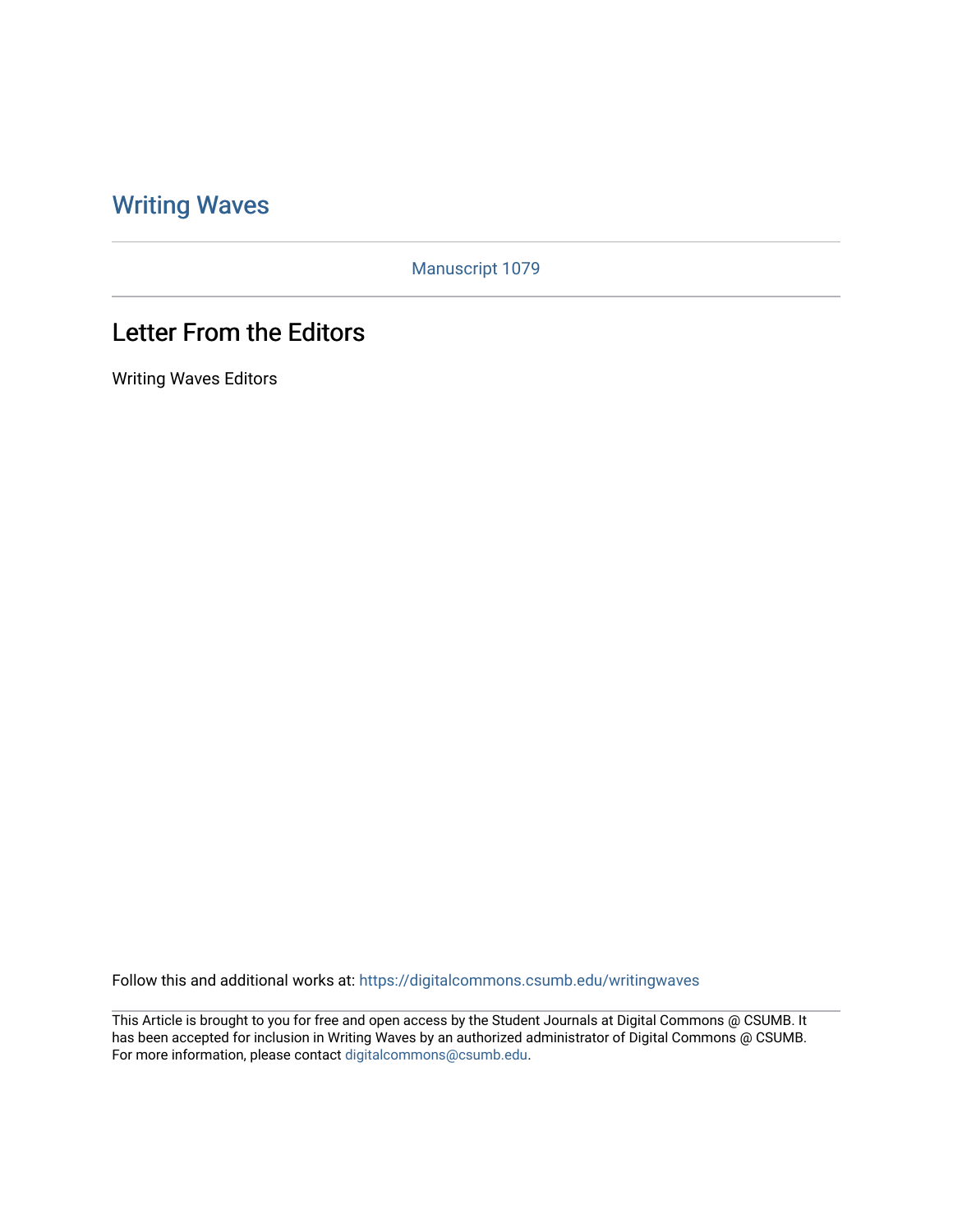## [Writing Waves](https://digitalcommons.csumb.edu/writingwaves)

Manuscript 1079

## Letter From the Editors

Writing Waves Editors

Follow this and additional works at: [https://digitalcommons.csumb.edu/writingwaves](https://digitalcommons.csumb.edu/writingwaves?utm_source=digitalcommons.csumb.edu%2Fwritingwaves%2Fvol4%2Fiss2%2F2&utm_medium=PDF&utm_campaign=PDFCoverPages) 

This Article is brought to you for free and open access by the Student Journals at Digital Commons @ CSUMB. It has been accepted for inclusion in Writing Waves by an authorized administrator of Digital Commons @ CSUMB. For more information, please contact [digitalcommons@csumb.edu](mailto:digitalcommons@csumb.edu).